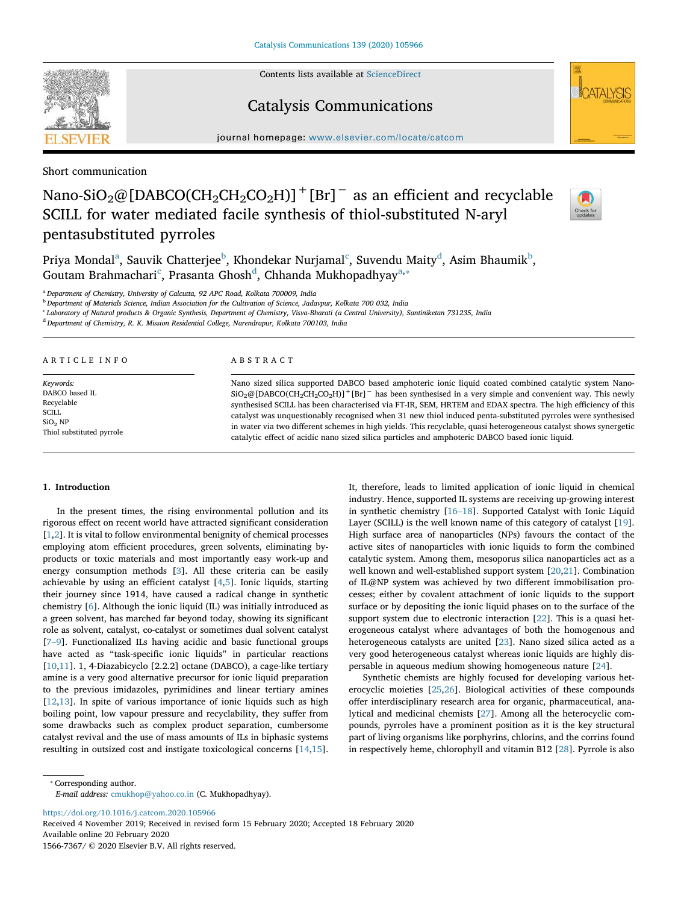Contents lists available at ScienceDirect

## Catalysis Communications



journal homepage: www.elsevier.com/locate/catcom

Short communication

# Nano-SiO<sub>2</sub>@[DABCO(CH<sub>2</sub>CH<sub>2</sub>CO<sub>2</sub>H)]<sup>+</sup>[Br]<sup>-</sup> as an efficient and recyclable SCILL for water mediated facile synthesis of thiol-substituted N-aryl pentasubstituted pyrroles



Priya Mondal $^{\rm a}$ , Sauvik Chatterjee $^{\rm b}$ , Khondekar Nurjamal $^{\rm c}$ , Suvendu Maity $^{\rm d}$ , Asim Bhaumik $^{\rm b}$ , Goutam Brahmachari°, Prasanta Ghosh<sup>d</sup>, Chhanda Mukhopadhyay<sup>a,\*</sup>

<sup>a</sup> *Department of Chemistry, University of Calcutta, 92 APC Road, Kolkata 700009, India*

<sup>b</sup> *Department of Materials Science, Indian Association for the Cultivation of Science, Jadavpur, Kolkata 700 032, India*

c *Laboratory of Natural products & Organic Synthesis, Department of Chemistry, Visva-Bharati (a Central University), Santiniketan 731235, India*

<sup>d</sup> *Department of Chemistry, R. K. Mission Residential College, Narendrapur, Kolkata 700103, India*

ARTICLE INFO

*Keywords:* DABCO based IL Recyclable SCILL SiO<sub>2</sub> NP Thiol substituted pyrrole

#### ABSTRACT

Nano sized silica supported DABCO based amphoteric ionic liquid coated combined catalytic system Nano- $\text{SiO}_2$ @[DABCO(CH<sub>2</sub>CH<sub>2</sub>CO<sub>2</sub>H)]<sup>+</sup>[Br]<sup>–</sup> has been synthesised in a very simple and convenient way. This newly synthesised SCILL has been characterised via FT-IR, SEM, HRTEM and EDAX spectra. The high efficiency of this catalyst was unquestionably recognised when 31 new thiol induced penta-substituted pyrroles were synthesised in water via two different schemes in high yields. This recyclable, quasi heterogeneous catalyst shows synergetic catalytic effect of acidic nano sized silica particles and amphoteric DABCO based ionic liquid.

#### 1. Introduction

In the present times, the rising environmental pollution and its rigorous effect on recent world have attracted significant consideration [1,2]. It is vital to follow environmental benignity of chemical processes employing atom efficient procedures, green solvents, eliminating byproducts or toxic materials and most importantly easy work-up and energy consumption methods [3]. All these criteria can be easily achievable by using an efficient catalyst [4,5]. Ionic liquids, starting their journey since 1914, have caused a radical change in synthetic chemistry [6]. Although the ionic liquid (IL) was initially introduced as a green solvent, has marched far beyond today, showing its significant role as solvent, catalyst, co-catalyst or sometimes dual solvent catalyst [7–9]. Functionalized ILs having acidic and basic functional groups have acted as "task-specific ionic liquids" in particular reactions [10,11]. 1, 4-Diazabicyclo [2.2.2] octane (DABCO), a cage-like tertiary amine is a very good alternative precursor for ionic liquid preparation to the previous imidazoles, pyrimidines and linear tertiary amines [12,13]. In spite of various importance of ionic liquids such as high boiling point, low vapour pressure and recyclability, they suffer from some drawbacks such as complex product separation, cumbersome catalyst revival and the use of mass amounts of ILs in biphasic systems resulting in outsized cost and instigate toxicological concerns [14,15]. It, therefore, leads to limited application of ionic liquid in chemical industry. Hence, supported IL systems are receiving up-growing interest in synthetic chemistry [16–18]. Supported Catalyst with Ionic Liquid Layer (SCILL) is the well known name of this category of catalyst [19]. High surface area of nanoparticles (NPs) favours the contact of the active sites of nanoparticles with ionic liquids to form the combined catalytic system. Among them, mesoporus silica nanoparticles act as a well known and well-established support system [20,21]. Combination of IL@NP system was achieved by two different immobilisation processes; either by covalent attachment of ionic liquids to the support surface or by depositing the ionic liquid phases on to the surface of the support system due to electronic interaction [22]. This is a quasi heterogeneous catalyst where advantages of both the homogenous and heterogeneous catalysts are united [23]. Nano sized silica acted as a very good heterogeneous catalyst whereas ionic liquids are highly dispersable in aqueous medium showing homogeneous nature [24].

Synthetic chemists are highly focused for developing various heterocyclic moieties [25,26]. Biological activities of these compounds offer interdisciplinary research area for organic, pharmaceutical, analytical and medicinal chemists [27]. Among all the heterocyclic compounds, pyrroles have a prominent position as it is the key structural part of living organisms like porphyrins, chlorins, and the corrins found in respectively heme, chlorophyll and vitamin B12 [28]. Pyrrole is also

⁎ Corresponding author.

*E-mail address:* cmukhop@yahoo.co.in (C. Mukhopadhyay).

https://doi.org/10.1016/j.catcom.2020.105966

Received 4 November 2019; Received in revised form 15 February 2020; Accepted 18 February 2020 Available online 20 February 2020

1566-7367/ © 2020 Elsevier B.V. All rights reserved.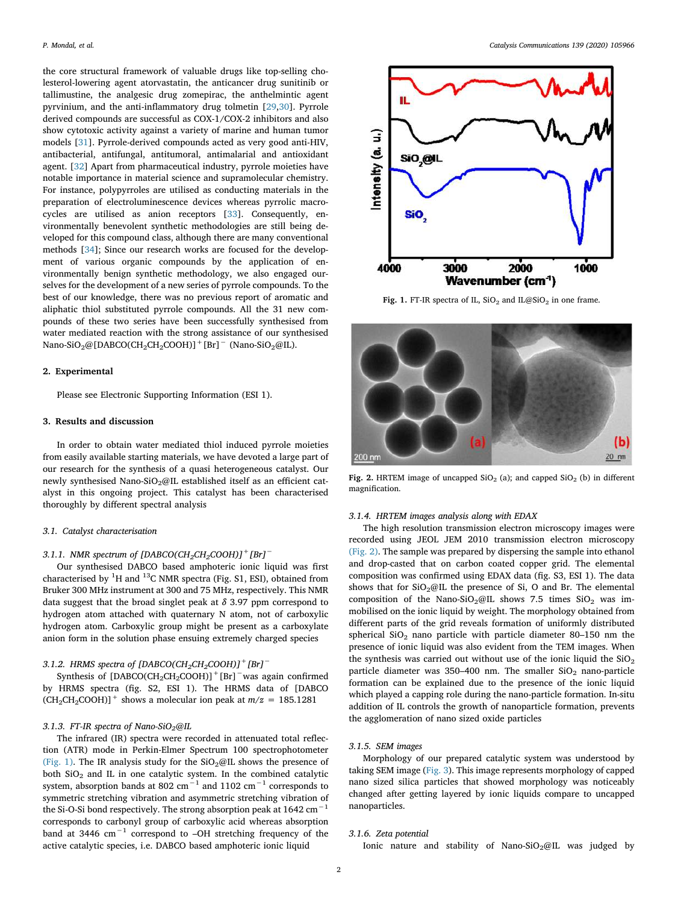the core structural framework of valuable drugs like top-selling cholesterol-lowering agent atorvastatin, the anticancer drug sunitinib or tallimustine, the analgesic drug zomepirac, the anthelmintic agent pyrvinium, and the anti-inflammatory drug tolmetin [29,30]. Pyrrole derived compounds are successful as COX-1/COX-2 inhibitors and also show cytotoxic activity against a variety of marine and human tumor models [31]. Pyrrole-derived compounds acted as very good anti-HIV, antibacterial, antifungal, antitumoral, antimalarial and antioxidant agent. [32] Apart from pharmaceutical industry, pyrrole moieties have notable importance in material science and supramolecular chemistry. For instance, polypyrroles are utilised as conducting materials in the preparation of electroluminescence devices whereas pyrrolic macrocycles are utilised as anion receptors [33]. Consequently, environmentally benevolent synthetic methodologies are still being developed for this compound class, although there are many conventional methods [34]; Since our research works are focused for the development of various organic compounds by the application of environmentally benign synthetic methodology, we also engaged ourselves for the development of a new series of pyrrole compounds. To the best of our knowledge, there was no previous report of aromatic and aliphatic thiol substituted pyrrole compounds. All the 31 new compounds of these two series have been successfully synthesised from water mediated reaction with the strong assistance of our synthesised Nano-SiO<sub>2</sub>@[DABCO(CH<sub>2</sub>CH<sub>2</sub>COOH)]<sup>+</sup>[Br]<sup>-</sup> (Nano-SiO<sub>2</sub>@IL).

#### 2. Experimental

Please see Electronic Supporting Information (ESI 1).

#### 3. Results and discussion

In order to obtain water mediated thiol induced pyrrole moieties from easily available starting materials, we have devoted a large part of our research for the synthesis of a quasi heterogeneous catalyst. Our newly synthesised Nano-SiO<sub>2</sub>@IL established itself as an efficient catalyst in this ongoing project. This catalyst has been characterised thoroughly by different spectral analysis

#### *3.1. Catalyst characterisation*

#### *3.1.1. NMR spectrum of [DABCO(CH2CH2COOH)]+[Br]*<sup>−</sup>

Our synthesised DABCO based amphoteric ionic liquid was first characterised by  ${}^{1}H$  and  ${}^{13}C$  NMR spectra (Fig. S1, ESI), obtained from Bruker 300 MHz instrument at 300 and 75 MHz, respectively. This NMR data suggest that the broad singlet peak at  $\delta$  3.97 ppm correspond to hydrogen atom attached with quaternary N atom, not of carboxylic hydrogen atom. Carboxylic group might be present as a carboxylate anion form in the solution phase ensuing extremely charged species

#### *3.1.2. HRMS spectra of [DABCO(CH2CH2COOH)]+[Br]*<sup>−</sup>

Synthesis of [DABCO(CH<sub>2</sub>CH<sub>2</sub>COOH)]<sup>+</sup>[Br]<sup>−</sup>was again confirmed by HRMS spectra (fig. S2, ESI 1). The HRMS data of [DABCO  $(CH_2CH_2COOH)]$ <sup>+</sup> shows a molecular ion peak at  $m/z = 185.1281$ 

#### *3.1.3. FT-IR spectra of Nano-SiO2@IL*

The infrared (IR) spectra were recorded in attenuated total reflection (ATR) mode in Perkin-Elmer Spectrum 100 spectrophotometer (Fig. 1). The IR analysis study for the  $SiO_2@$ IL shows the presence of both  $SiO<sub>2</sub>$  and IL in one catalytic system. In the combined catalytic system, absorption bands at 802 cm<sup> $^{-1}$ </sup> and 1102 cm<sup> $^{-1}$ </sup> corresponds to symmetric stretching vibration and asymmetric stretching vibration of the Si-O-Si bond respectively. The strong absorption peak at  $1642 \text{ cm}^{-1}$ corresponds to carbonyl group of carboxylic acid whereas absorption band at 3446 cm−<sup>1</sup> correspond to –OH stretching frequency of the active catalytic species, i.e. DABCO based amphoteric ionic liquid



Fig. 1. FT-IR spectra of IL,  $SiO<sub>2</sub>$  and IL@SiO<sub>2</sub> in one frame.



Fig. 2. HRTEM image of uncapped  $SiO<sub>2</sub>$  (a); and capped  $SiO<sub>2</sub>$  (b) in different magnification.

#### *3.1.4. HRTEM images analysis along with EDAX*

The high resolution transmission electron microscopy images were recorded using JEOL JEM 2010 transmission electron microscopy (Fig. 2). The sample was prepared by dispersing the sample into ethanol and drop-casted that on carbon coated copper grid. The elemental composition was confirmed using EDAX data (fig. S3, ESI 1). The data shows that for  $SiO_2@$ IL the presence of Si, O and Br. The elemental composition of the Nano-SiO<sub>2</sub>@IL shows 7.5 times  $SiO<sub>2</sub>$  was immobilised on the ionic liquid by weight. The morphology obtained from different parts of the grid reveals formation of uniformly distributed spherical SiO<sub>2</sub> nano particle with particle diameter 80-150 nm the presence of ionic liquid was also evident from the TEM images. When the synthesis was carried out without use of the ionic liquid the  $SiO<sub>2</sub>$ particle diameter was 350–400 nm. The smaller  $SiO<sub>2</sub>$  nano-particle formation can be explained due to the presence of the ionic liquid which played a capping role during the nano-particle formation. In-situ addition of IL controls the growth of nanoparticle formation, prevents the agglomeration of nano sized oxide particles

#### *3.1.5. SEM images*

Morphology of our prepared catalytic system was understood by taking SEM image (Fig. 3). This image represents morphology of capped nano sized silica particles that showed morphology was noticeably changed after getting layered by ionic liquids compare to uncapped nanoparticles.

#### *3.1.6. Zeta potential*

Ionic nature and stability of Nano-SiO<sub>2</sub>@IL was judged by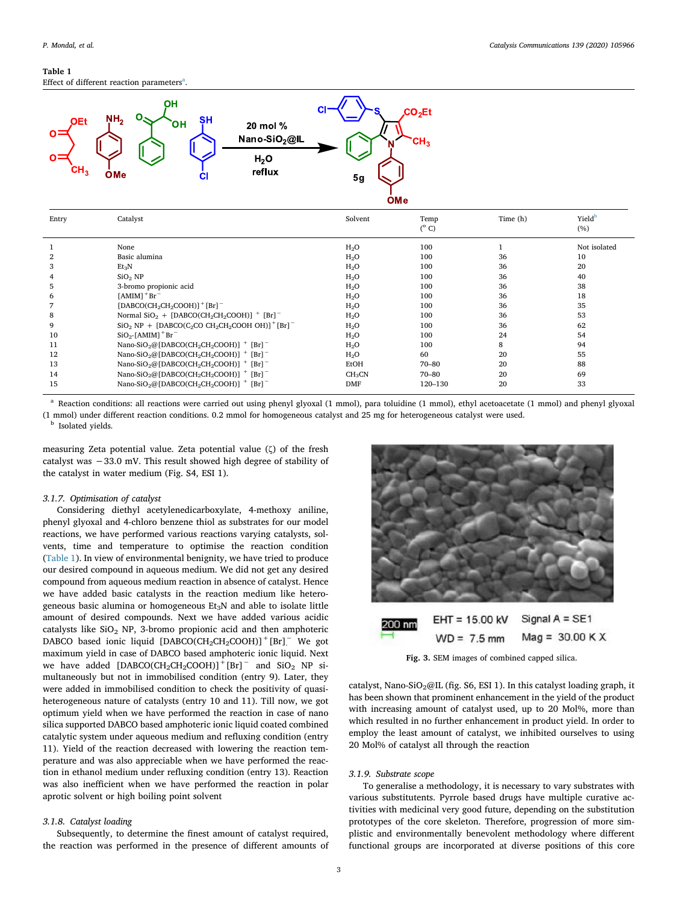### Table 1

Effect of different reaction parameters ${}^{\circ}$ .



| Entry        | Catalyst                                                                                            | Solvent            | Temp<br>$(^{\circ}C)$ | Time (h) | Yield <sup>b</sup><br>(%) |
|--------------|-----------------------------------------------------------------------------------------------------|--------------------|-----------------------|----------|---------------------------|
|              | None                                                                                                | $H_2O$             | 100                   |          | Not isolated              |
| $\mathbf{2}$ | Basic alumina                                                                                       | $H_2O$             | 100                   | 36       | 10                        |
| 3            | $Et_3N$                                                                                             | $H_2O$             | 100                   | 36       | 20                        |
| 4            | SiO <sub>2</sub> NP                                                                                 | H <sub>2</sub> O   | 100                   | 36       | 40                        |
| 5            | 3-bromo propionic acid                                                                              | H <sub>2</sub> O   | 100                   | 36       | 38                        |
| 6            | $[AMIM]$ <sup>+</sup> Br <sup>-</sup>                                                               | $H_2O$             | 100                   | 36       | 18                        |
| 7            | [DABCO(CH <sub>2</sub> CH <sub>2</sub> COOH)] <sup>+</sup> [Br] <sup>-</sup>                        | $H_2O$             | 100                   | 36       | 35                        |
| 8            | Normal $SiO2 + [DABCO(CH2CH2COOH)]$ <sup>+</sup> [Br] <sup>-</sup>                                  | $H_2O$             | 100                   | 36       | 53                        |
| 9            | $SiO2 NP + [DABCO(C2CO CH2CH2COOH OH)]+ [Br]$                                                       | $H_2O$             | 100                   | 36       | 62                        |
| 10           | $SiO2$ -[AMIM] <sup>+</sup> Br <sup>-</sup>                                                         | $H_2O$             | 100                   | 24       | 54                        |
| 11           | Nano-SiO <sub>2</sub> @[DABCO(CH <sub>2</sub> CH <sub>2</sub> COOH)] $+$ [Br] <sup>-</sup>          | H <sub>2</sub> O   | 100                   | 8        | 94                        |
| 12           | Nano-SiO <sub>2</sub> @[DABCO(CH <sub>2</sub> CH <sub>2</sub> COOH)] $+$ [Br] <sup>-</sup>          | $H_2O$             | 60                    | 20       | 55                        |
| 13           | Nano-SiO <sub>2</sub> @[DABCO(CH <sub>2</sub> CH <sub>2</sub> COOH)] $+$ [Br] <sup>-</sup>          | EtOH               | $70 - 80$             | 20       | 88                        |
| 14           | Nano-SiO <sub>2</sub> @[DABCO(CH <sub>2</sub> CH <sub>2</sub> COOH)] $+$ [Br] <sup>-</sup>          | CH <sub>3</sub> CN | $70 - 80$             | 20       | 69                        |
| 15           | Nano-SiO <sub>2</sub> @[DABCO(CH <sub>2</sub> CH <sub>2</sub> COOH)] <sup>+</sup> [Br] <sup>-</sup> | DMF                | 120-130               | 20       | 33                        |

Reaction conditions: all reactions were carried out using phenyl glyoxal (1 mmol), para toluidine (1 mmol), ethyl acetoacetate (1 mmol) and phenyl glyoxal (1 mmol) under different reaction conditions. 0.2 mmol for homogeneous catalyst and 25 mg for heterogeneous catalyst were used.

**b** Isolated yields.

measuring Zeta potential value. Zeta potential value (ζ) of the fresh catalyst was −33.0 mV. This result showed high degree of stability of the catalyst in water medium (Fig. S4, ESI 1).

#### *3.1.7. Optimisation of catalyst*

Considering diethyl acetylenedicarboxylate, 4-methoxy aniline, phenyl glyoxal and 4-chloro benzene thiol as substrates for our model reactions, we have performed various reactions varying catalysts, solvents, time and temperature to optimise the reaction condition (Table 1). In view of environmental benignity, we have tried to produce our desired compound in aqueous medium. We did not get any desired compound from aqueous medium reaction in absence of catalyst. Hence we have added basic catalysts in the reaction medium like heterogeneous basic alumina or homogeneous  $Et<sub>3</sub>N$  and able to isolate little amount of desired compounds. Next we have added various acidic catalysts like  $SiO<sub>2</sub>$  NP, 3-bromo propionic acid and then amphoteric DABCO based ionic liquid  $[DABCO(CH_2CH_2COOH)]$ <sup>+</sup>[Br]<sup>-</sup> We got maximum yield in case of DABCO based amphoteric ionic liquid. Next we have added  $[DABCO(CH_2CH_2COOH)]$ <sup>+</sup>[Br]<sup>-</sup> and SiO<sub>2</sub> NP simultaneously but not in immobilised condition (entry 9). Later, they were added in immobilised condition to check the positivity of quasiheterogeneous nature of catalysts (entry 10 and 11). Till now, we got optimum yield when we have performed the reaction in case of nano silica supported DABCO based amphoteric ionic liquid coated combined catalytic system under aqueous medium and refluxing condition (entry 11). Yield of the reaction decreased with lowering the reaction temperature and was also appreciable when we have performed the reaction in ethanol medium under refluxing condition (entry 13). Reaction was also inefficient when we have performed the reaction in polar aprotic solvent or high boiling point solvent

#### *3.1.8. Catalyst loading*

Subsequently, to determine the finest amount of catalyst required, the reaction was performed in the presence of different amounts of



Fig. 3. SEM images of combined capped silica.

catalyst, Nano-SiO<sub>2</sub>@IL (fig. S6, ESI 1). In this catalyst loading graph, it has been shown that prominent enhancement in the yield of the product with increasing amount of catalyst used, up to 20 Mol%, more than which resulted in no further enhancement in product yield. In order to employ the least amount of catalyst, we inhibited ourselves to using 20 Mol% of catalyst all through the reaction

#### *3.1.9. Substrate scope*

To generalise a methodology, it is necessary to vary substrates with various substitutents. Pyrrole based drugs have multiple curative activities with medicinal very good future, depending on the substitution prototypes of the core skeleton. Therefore, progression of more simplistic and environmentally benevolent methodology where different functional groups are incorporated at diverse positions of this core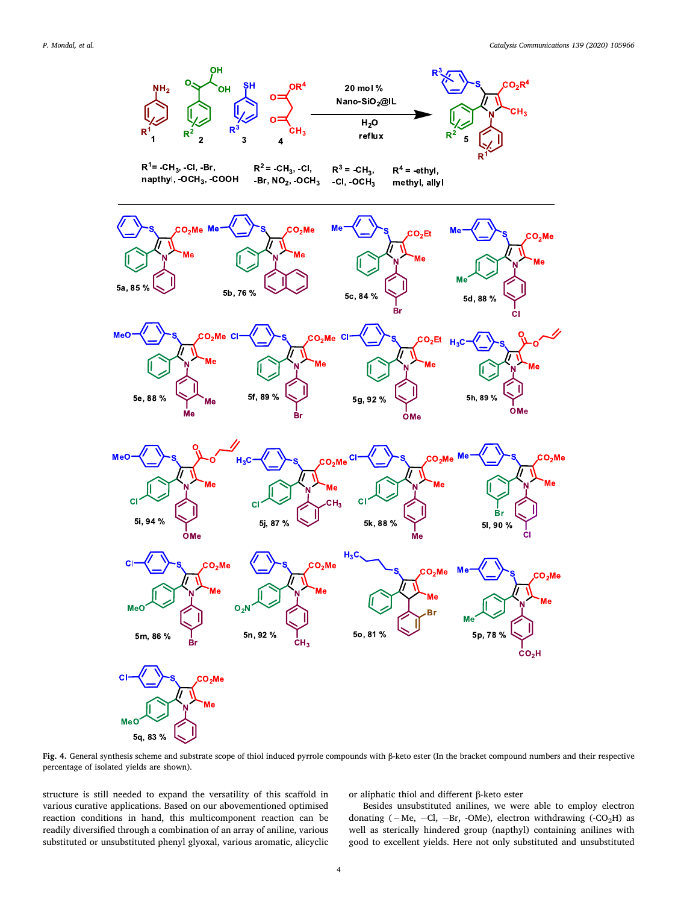

Fig. 4. General synthesis scheme and substrate scope of thiol induced pyrrole compounds with β-keto ester (In the bracket compound numbers and their respective percentage of isolated yields are shown).

structure is still needed to expand the versatility of this scaffold in various curative applications. Based on our abovementioned optimised reaction conditions in hand, this multicomponent reaction can be readily diversified through a combination of an array of aniline, various substituted or unsubstituted phenyl glyoxal, various aromatic, alicyclic or aliphatic thiol and different β-keto ester

Besides unsubstituted anilines, we were able to employ electron donating (-Me, -Cl, -Br, -OMe), electron withdrawing (-CO<sub>2</sub>H) as well as sterically hindered group (napthyl) containing anilines with good to excellent yields. Here not only substituted and unsubstituted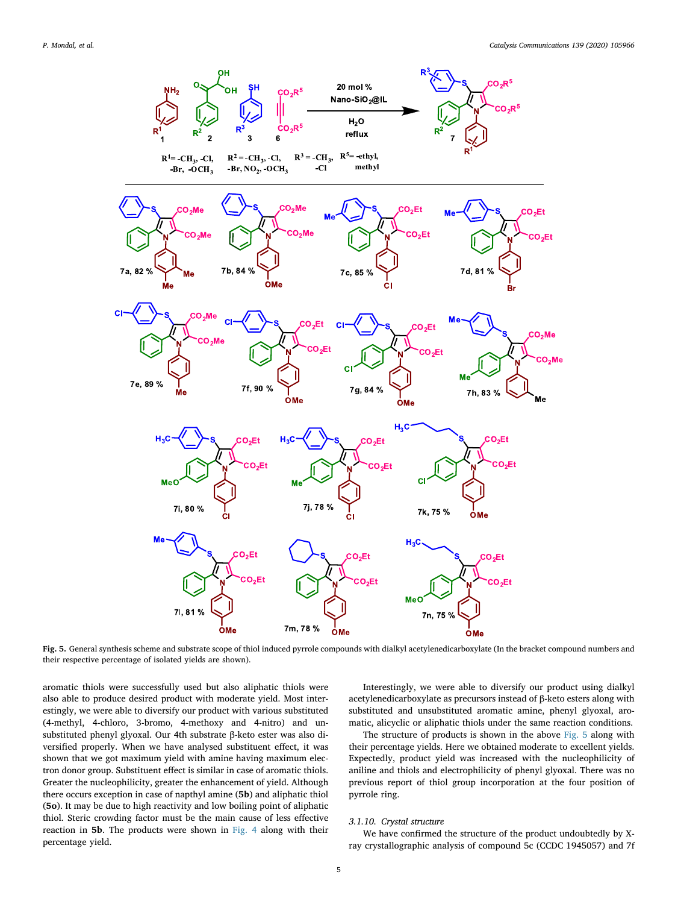

Fig. 5. General synthesis scheme and substrate scope of thiol induced pyrrole compounds with dialkyl acetylenedicarboxylate (In the bracket compound numbers and their respective percentage of isolated yields are shown).

aromatic thiols were successfully used but also aliphatic thiols were also able to produce desired product with moderate yield. Most interestingly, we were able to diversify our product with various substituted (4-methyl, 4-chloro, 3-bromo, 4-methoxy and 4-nitro) and unsubstituted phenyl glyoxal. Our 4th substrate β-keto ester was also diversified properly. When we have analysed substituent effect, it was shown that we got maximum yield with amine having maximum electron donor group. Substituent effect is similar in case of aromatic thiols. Greater the nucleophilicity, greater the enhancement of yield. Although there occurs exception in case of napthyl amine (5b) and aliphatic thiol (5o). It may be due to high reactivity and low boiling point of aliphatic thiol. Steric crowding factor must be the main cause of less effective reaction in 5b. The products were shown in Fig. 4 along with their percentage yield.

Interestingly, we were able to diversify our product using dialkyl acetylenedicarboxylate as precursors instead of β-keto esters along with substituted and unsubstituted aromatic amine, phenyl glyoxal, aromatic, alicyclic or aliphatic thiols under the same reaction conditions.

The structure of products is shown in the above Fig. 5 along with their percentage yields. Here we obtained moderate to excellent yields. Expectedly, product yield was increased with the nucleophilicity of aniline and thiols and electrophilicity of phenyl glyoxal. There was no previous report of thiol group incorporation at the four position of pyrrole ring.

#### *3.1.10. Crystal structure*

We have confirmed the structure of the product undoubtedly by Xray crystallographic analysis of compound 5c (CCDC 1945057) and 7f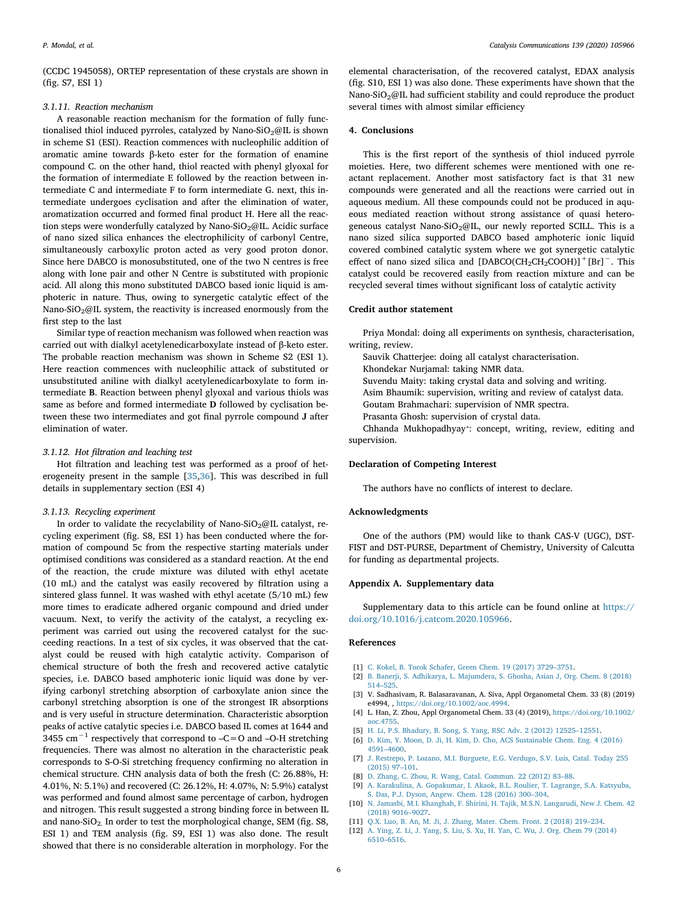(CCDC 1945058), ORTEP representation of these crystals are shown in (fig. S7, ESI 1)

#### *3.1.11. Reaction mechanism*

A reasonable reaction mechanism for the formation of fully functionalised thiol induced pyrroles, catalyzed by Nano-SiO<sub>2</sub>@IL is shown in scheme S1 (ESI). Reaction commences with nucleophilic addition of aromatic amine towards β-keto ester for the formation of enamine compound C. on the other hand, thiol reacted with phenyl glyoxal for the formation of intermediate E followed by the reaction between intermediate C and intermediate F to form intermediate G. next, this intermediate undergoes cyclisation and after the elimination of water, aromatization occurred and formed final product H. Here all the reaction steps were wonderfully catalyzed by Nano-SiO<sub>2</sub>@IL. Acidic surface of nano sized silica enhances the electrophilicity of carbonyl Centre, simultaneously carboxylic proton acted as very good proton donor. Since here DABCO is monosubstituted, one of the two N centres is free along with lone pair and other N Centre is substituted with propionic acid. All along this mono substituted DABCO based ionic liquid is amphoteric in nature. Thus, owing to synergetic catalytic effect of the Nano-SiO<sub>2</sub>@IL system, the reactivity is increased enormously from the first step to the last

Similar type of reaction mechanism was followed when reaction was carried out with dialkyl acetylenedicarboxylate instead of β-keto ester. The probable reaction mechanism was shown in Scheme S2 (ESI 1). Here reaction commences with nucleophilic attack of substituted or unsubstituted aniline with dialkyl acetylenedicarboxylate to form intermediate B. Reaction between phenyl glyoxal and various thiols was same as before and formed intermediate D followed by cyclisation between these two intermediates and got final pyrrole compound J after elimination of water.

#### *3.1.12. Hot* fi*ltration and leaching test*

Hot filtration and leaching test was performed as a proof of heterogeneity present in the sample [35,36]. This was described in full details in supplementary section (ESI 4)

#### *3.1.13. Recycling experiment*

In order to validate the recyclability of Nano-SiO<sub>2</sub>@IL catalyst, recycling experiment (fig. S8, ESI 1) has been conducted where the formation of compound 5c from the respective starting materials under optimised conditions was considered as a standard reaction. At the end of the reaction, the crude mixture was diluted with ethyl acetate (10 mL) and the catalyst was easily recovered by filtration using a sintered glass funnel. It was washed with ethyl acetate (5/10 mL) few more times to eradicate adhered organic compound and dried under vacuum. Next, to verify the activity of the catalyst, a recycling experiment was carried out using the recovered catalyst for the succeeding reactions. In a test of six cycles, it was observed that the catalyst could be reused with high catalytic activity. Comparison of chemical structure of both the fresh and recovered active catalytic species, i.e. DABCO based amphoteric ionic liquid was done by verifying carbonyl stretching absorption of carboxylate anion since the carbonyl stretching absorption is one of the strongest IR absorptions and is very useful in structure determination. Characteristic absorption peaks of active catalytic species i.e. DABCO based IL comes at 1644 and 3455 cm−<sup>1</sup> respectively that correspond to –C=O and –O-H stretching frequencies. There was almost no alteration in the characteristic peak corresponds to S-O-Si stretching frequency confirming no alteration in chemical structure. CHN analysis data of both the fresh (C: 26.88%, H: 4.01%, N: 5.1%) and recovered (C: 26.12%, H: 4.07%, N: 5.9%) catalyst was performed and found almost same percentage of carbon, hydrogen and nitrogen. This result suggested a strong binding force in between IL and nano-SiO<sub>2</sub>. In order to test the morphological change, SEM (fig. S8, ESI 1) and TEM analysis (fig. S9, ESI 1) was also done. The result showed that there is no considerable alteration in morphology. For the

elemental characterisation, of the recovered catalyst, EDAX analysis (fig. S10, ESI 1) was also done. These experiments have shown that the Nano-SiO<sub>2</sub>@IL had sufficient stability and could reproduce the product several times with almost similar efficiency

#### 4. Conclusions

This is the first report of the synthesis of thiol induced pyrrole moieties. Here, two different schemes were mentioned with one reactant replacement. Another most satisfactory fact is that 31 new compounds were generated and all the reactions were carried out in aqueous medium. All these compounds could not be produced in aqueous mediated reaction without strong assistance of quasi heterogeneous catalyst Nano-SiO<sub>2</sub>@IL, our newly reported SCILL. This is a nano sized silica supported DABCO based amphoteric ionic liquid covered combined catalytic system where we got synergetic catalytic effect of nano sized silica and  $[DABCO(CH_2CH_2COOH)]$ <sup>+</sup>[Br]<sup>-</sup>. This catalyst could be recovered easily from reaction mixture and can be recycled several times without significant loss of catalytic activity

#### Credit author statement

Priya Mondal: doing all experiments on synthesis, characterisation, writing, review.

- Sauvik Chatterjee: doing all catalyst characterisation.
- Khondekar Nurjamal: taking NMR data.
- Suvendu Maity: taking crystal data and solving and writing.
- Asim Bhaumik: supervision, writing and review of catalyst data.
- Goutam Brahmachari: supervision of NMR spectra.
- Prasanta Ghosh: supervision of crystal data.

Chhanda Mukhopadhyay\*: concept, writing, review, editing and supervision.

#### Declaration of Competing Interest

The authors have no conflicts of interest to declare.

#### Acknowledgments

One of the authors (PM) would like to thank CAS-V (UGC), DST-FIST and DST-PURSE, Department of Chemistry, University of Calcutta for funding as departmental projects.

#### Appendix A. Supplementary data

Supplementary data to this article can be found online at https:// doi.org/10.1016/j.catcom.2020.105966.

#### References

- [1] C. Kokel, B. Torok Schafer, Green Chem. 19 (2017) 3729–3751.
- [2] B. Banerji, S. Adhikarya, L. Majumdera, S. Ghosha, Asian J, Org. Chem. 8 (2018) 514–525.
- [3] V. Sadhasivam, R. Balasaravanan, A. Siva, Appl Organometal Chem. 33 (8) (2019) e4994, , https://doi.org/10.1002/aoc.4994.
- [4] L. Han, Z. Zhou, Appl Organometal Chem. 33 (4) (2019), https://doi.org/10.1002/ aoc.4755.
- [5] H. Li, P.S. Bhadury, B. Song, S. Yang, RSC Adv. 2 (2012) 12525–12551.
- [6] D. Kim, Y. Moon, D. Ji, H. Kim, D. Cho, ACS Sustainable Chem. Eng. 4 (2016) 4591–4600.
- [7] J. Restrepo, P. Lozano, M.I. Burguete, E.G. Verdugo, S.V. Luis, Catal. Today 255 (2015) 97–101.
- [8] D. Zhang, C. Zhou, R. Wang, Catal. Commun. 22 (2012) 83–88.
- [9] A. Karakulina, A. Gopakumar, I. Akaok, B.L. Roulier, T. Lagrange, S.A. Katsyuba, S. Das, P.J. Dyson, Angew. Chem. 128 (2016) 300–304.
- [10] N. Jamasbi, M.I. Khanghah, F. Shirini, H. Tajik, M.S.N. Langarudi, New J. Chem. 42 (2018) 9016–9027.
- [11] Q.X. Luo, B. An, M. Ji, J. Zhang, Mater. Chem. Front. 2 (2018) 219–234.
- [12] A. Ying, Z. Li, J. Yang, S. Liu, S. Xu, H. Yan, C. Wu, J. Org. Chem 79 (2014) 6510–6516.